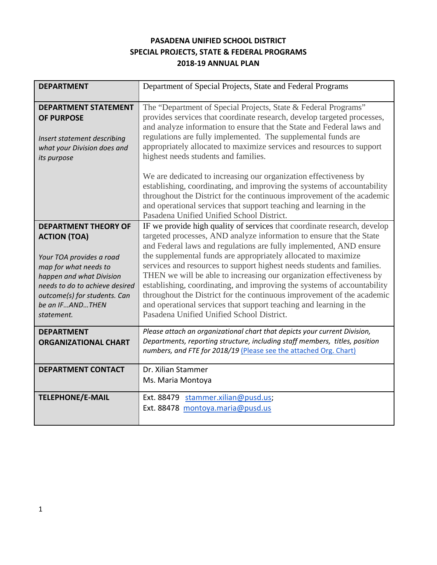## **PASADENA UNIFIED SCHOOL DISTRICT SPECIAL PROJECTS, STATE & FEDERAL PROGRAMS 2018-19 ANNUAL PLAN**

| <b>DEPARTMENT</b>                                                                                                                                                                                                                      | Department of Special Projects, State and Federal Programs                                                                                                                                                                                                                                                                                                                                                                                                                                                                                                                                                                                                                                                         |  |  |
|----------------------------------------------------------------------------------------------------------------------------------------------------------------------------------------------------------------------------------------|--------------------------------------------------------------------------------------------------------------------------------------------------------------------------------------------------------------------------------------------------------------------------------------------------------------------------------------------------------------------------------------------------------------------------------------------------------------------------------------------------------------------------------------------------------------------------------------------------------------------------------------------------------------------------------------------------------------------|--|--|
| <b>DEPARTMENT STATEMENT</b><br><b>OF PURPOSE</b><br>Insert statement describing<br>what your Division does and<br>its purpose                                                                                                          | The "Department of Special Projects, State & Federal Programs"<br>provides services that coordinate research, develop targeted processes,<br>and analyze information to ensure that the State and Federal laws and<br>regulations are fully implemented. The supplemental funds are<br>appropriately allocated to maximize services and resources to support<br>highest needs students and families.                                                                                                                                                                                                                                                                                                               |  |  |
|                                                                                                                                                                                                                                        | We are dedicated to increasing our organization effectiveness by<br>establishing, coordinating, and improving the systems of accountability<br>throughout the District for the continuous improvement of the academic<br>and operational services that support teaching and learning in the<br>Pasadena Unified Unified School District.                                                                                                                                                                                                                                                                                                                                                                           |  |  |
| <b>DEPARTMENT THEORY OF</b><br><b>ACTION (TOA)</b><br>Your TOA provides a road<br>map for what needs to<br>happen and what Division<br>needs to do to achieve desired<br>outcome(s) for students. Can<br>be an IFANDTHEN<br>statement. | IF we provide high quality of services that coordinate research, develop<br>targeted processes, AND analyze information to ensure that the State<br>and Federal laws and regulations are fully implemented, AND ensure<br>the supplemental funds are appropriately allocated to maximize<br>services and resources to support highest needs students and families.<br>THEN we will be able to increasing our organization effectiveness by<br>establishing, coordinating, and improving the systems of accountability<br>throughout the District for the continuous improvement of the academic<br>and operational services that support teaching and learning in the<br>Pasadena Unified Unified School District. |  |  |
| <b>DEPARTMENT</b><br><b>ORGANIZATIONAL CHART</b>                                                                                                                                                                                       | Please attach an organizational chart that depicts your current Division,<br>Departments, reporting structure, including staff members, titles, position<br>numbers, and FTE for 2018/19 (Please see the attached Org. Chart)                                                                                                                                                                                                                                                                                                                                                                                                                                                                                      |  |  |
| <b>DEPARTMENT CONTACT</b>                                                                                                                                                                                                              | Dr. Xilian Stammer<br>Ms. Maria Montoya                                                                                                                                                                                                                                                                                                                                                                                                                                                                                                                                                                                                                                                                            |  |  |
| <b>TELEPHONE/E-MAIL</b>                                                                                                                                                                                                                | Ext. 88479 stammer.xilian@pusd.us;<br>Ext. 88478 montoya.maria@pusd.us                                                                                                                                                                                                                                                                                                                                                                                                                                                                                                                                                                                                                                             |  |  |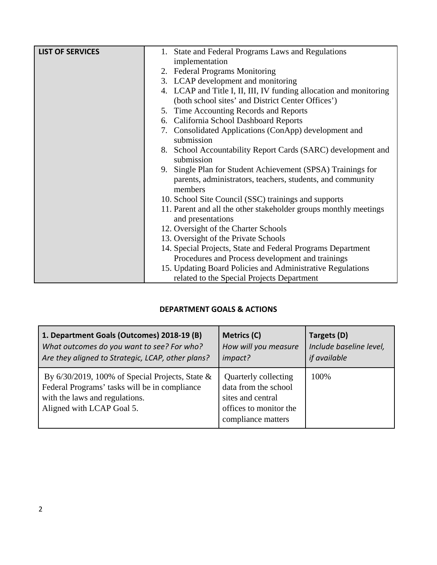| <b>LIST OF SERVICES</b> | 1. State and Federal Programs Laws and Regulations                  |  |  |  |
|-------------------------|---------------------------------------------------------------------|--|--|--|
|                         | implementation                                                      |  |  |  |
|                         | 2. Federal Programs Monitoring                                      |  |  |  |
|                         | 3. LCAP development and monitoring                                  |  |  |  |
|                         | 4. LCAP and Title I, II, III, IV funding allocation and monitoring  |  |  |  |
|                         | (both school sites' and District Center Offices')                   |  |  |  |
|                         | 5. Time Accounting Records and Reports                              |  |  |  |
|                         | 6. California School Dashboard Reports                              |  |  |  |
|                         | 7. Consolidated Applications (ConApp) development and<br>submission |  |  |  |
|                         |                                                                     |  |  |  |
|                         | 8. School Accountability Report Cards (SARC) development and        |  |  |  |
|                         | submission                                                          |  |  |  |
|                         | 9. Single Plan for Student Achievement (SPSA) Trainings for         |  |  |  |
|                         | parents, administrators, teachers, students, and community          |  |  |  |
|                         | members                                                             |  |  |  |
|                         | 10. School Site Council (SSC) trainings and supports                |  |  |  |
|                         | 11. Parent and all the other stakeholder groups monthly meetings    |  |  |  |
|                         | and presentations                                                   |  |  |  |
|                         | 12. Oversight of the Charter Schools                                |  |  |  |
|                         | 13. Oversight of the Private Schools                                |  |  |  |
|                         | 14. Special Projects, State and Federal Programs Department         |  |  |  |
|                         | Procedures and Process development and trainings                    |  |  |  |
|                         | 15. Updating Board Policies and Administrative Regulations          |  |  |  |
|                         | related to the Special Projects Department                          |  |  |  |

## **DEPARTMENT GOALS & ACTIONS**

| 1. Department Goals (Outcomes) 2018-19 (B)                                                                                                                         | Metrics (C)                                                                                                       | Targets (D)             |
|--------------------------------------------------------------------------------------------------------------------------------------------------------------------|-------------------------------------------------------------------------------------------------------------------|-------------------------|
| What outcomes do you want to see? For who?                                                                                                                         | How will you measure                                                                                              | Include baseline level, |
| Are they aligned to Strategic, LCAP, other plans?                                                                                                                  | impact?                                                                                                           | if available            |
| By $6/30/2019$ , 100% of Special Projects, State &<br>Federal Programs' tasks will be in compliance<br>with the laws and regulations.<br>Aligned with LCAP Goal 5. | Quarterly collecting<br>data from the school<br>sites and central<br>offices to monitor the<br>compliance matters | 100%                    |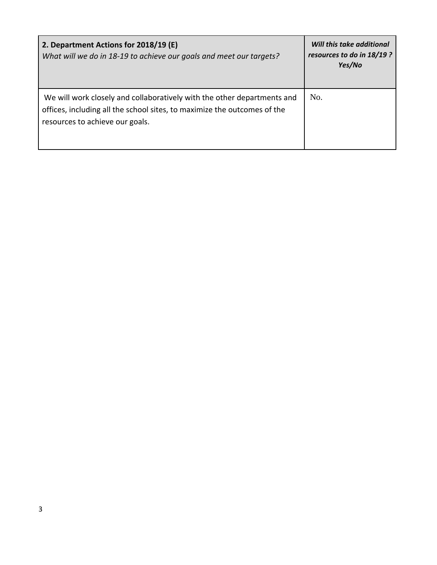| 2. Department Actions for 2018/19 (E)<br>What will we do in 18-19 to achieve our goals and meet our targets?                                                                           | Will this take additional<br>resources to do in 18/19 ?<br>Yes/No |
|----------------------------------------------------------------------------------------------------------------------------------------------------------------------------------------|-------------------------------------------------------------------|
| We will work closely and collaboratively with the other departments and<br>offices, including all the school sites, to maximize the outcomes of the<br>resources to achieve our goals. | No.                                                               |